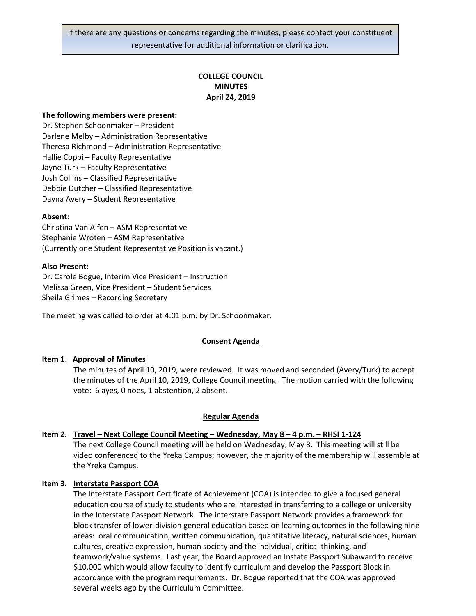## **COLLEGE COUNCIL MINUTES April 24, 2019**

#### **The following members were present:**

Dr. Stephen Schoonmaker – President Darlene Melby – Administration Representative Theresa Richmond – Administration Representative Hallie Coppi – Faculty Representative Jayne Turk – Faculty Representative Josh Collins – Classified Representative Debbie Dutcher – Classified Representative Dayna Avery – Student Representative

#### **Absent:**

Christina Van Alfen – ASM Representative Stephanie Wroten – ASM Representative (Currently one Student Representative Position is vacant.)

#### **Also Present:**

Dr. Carole Bogue, Interim Vice President – Instruction Melissa Green, Vice President – Student Services Sheila Grimes – Recording Secretary

The meeting was called to order at 4:01 p.m. by Dr. Schoonmaker.

#### **Consent Agenda**

#### **Item 1**. **Approval of Minutes**

The minutes of April 10, 2019, were reviewed. It was moved and seconded (Avery/Turk) to accept the minutes of the April 10, 2019, College Council meeting. The motion carried with the following vote: 6 ayes, 0 noes, 1 abstention, 2 absent.

#### **Regular Agenda**

## **Item 2. Travel – Next College Council Meeting – Wednesday, May 8 – 4 p.m. – RHSI 1-124**

The next College Council meeting will be held on Wednesday, May 8. This meeting will still be video conferenced to the Yreka Campus; however, the majority of the membership will assemble at the Yreka Campus.

#### **Item 3. Interstate Passport COA**

The Interstate Passport Certificate of Achievement (COA) is intended to give a focused general education course of study to students who are interested in transferring to a college or university in the Interstate Passport Network. The interstate Passport Network provides a framework for block transfer of lower-division general education based on learning outcomes in the following nine areas: oral communication, written communication, quantitative literacy, natural sciences, human cultures, creative expression, human society and the individual, critical thinking, and teamwork/value systems. Last year, the Board approved an Instate Passport Subaward to receive \$10,000 which would allow faculty to identify curriculum and develop the Passport Block in accordance with the program requirements. Dr. Bogue reported that the COA was approved several weeks ago by the Curriculum Committee.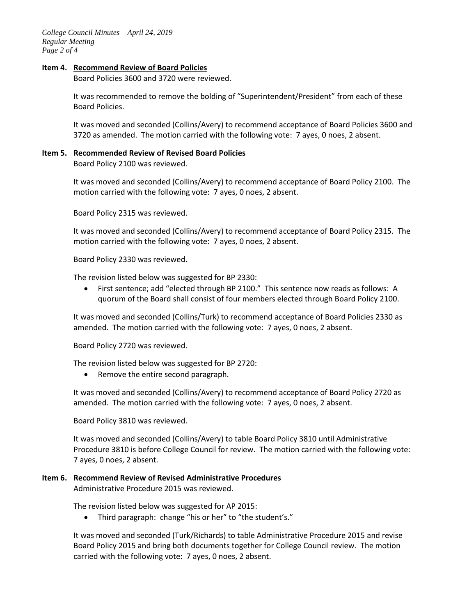*College Council Minutes – April 24, 2019 Regular Meeting Page 2 of 4*

#### **Item 4. Recommend Review of Board Policies**

Board Policies 3600 and 3720 were reviewed.

It was recommended to remove the bolding of "Superintendent/President" from each of these Board Policies.

It was moved and seconded (Collins/Avery) to recommend acceptance of Board Policies 3600 and 3720 as amended. The motion carried with the following vote: 7 ayes, 0 noes, 2 absent.

# **Item 5. Recommended Review of Revised Board Policies**

Board Policy 2100 was reviewed.

It was moved and seconded (Collins/Avery) to recommend acceptance of Board Policy 2100. The motion carried with the following vote: 7 ayes, 0 noes, 2 absent.

Board Policy 2315 was reviewed.

It was moved and seconded (Collins/Avery) to recommend acceptance of Board Policy 2315. The motion carried with the following vote: 7 ayes, 0 noes, 2 absent.

Board Policy 2330 was reviewed.

The revision listed below was suggested for BP 2330:

 First sentence; add "elected through BP 2100." This sentence now reads as follows: A quorum of the Board shall consist of four members elected through Board Policy 2100.

It was moved and seconded (Collins/Turk) to recommend acceptance of Board Policies 2330 as amended. The motion carried with the following vote: 7 ayes, 0 noes, 2 absent.

Board Policy 2720 was reviewed.

The revision listed below was suggested for BP 2720:

• Remove the entire second paragraph.

It was moved and seconded (Collins/Avery) to recommend acceptance of Board Policy 2720 as amended. The motion carried with the following vote: 7 ayes, 0 noes, 2 absent.

Board Policy 3810 was reviewed.

It was moved and seconded (Collins/Avery) to table Board Policy 3810 until Administrative Procedure 3810 is before College Council for review. The motion carried with the following vote: 7 ayes, 0 noes, 2 absent.

## **Item 6. Recommend Review of Revised Administrative Procedures**

Administrative Procedure 2015 was reviewed.

The revision listed below was suggested for AP 2015:

Third paragraph: change "his or her" to "the student's."

It was moved and seconded (Turk/Richards) to table Administrative Procedure 2015 and revise Board Policy 2015 and bring both documents together for College Council review. The motion carried with the following vote: 7 ayes, 0 noes, 2 absent.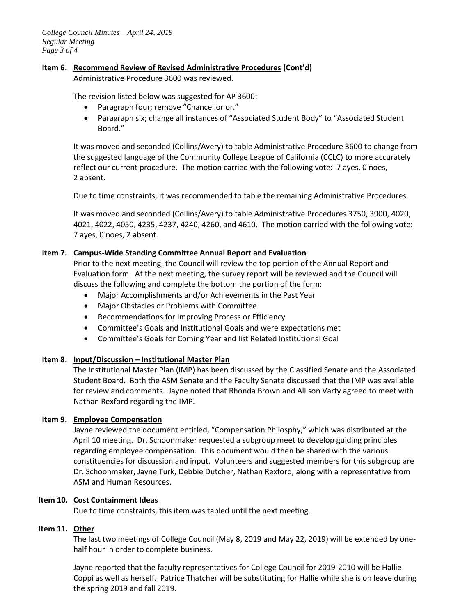## **Item 6. Recommend Review of Revised Administrative Procedures (Cont'd)**

Administrative Procedure 3600 was reviewed.

The revision listed below was suggested for AP 3600:

- Paragraph four; remove "Chancellor or."
- Paragraph six; change all instances of "Associated Student Body" to "Associated Student Board."

It was moved and seconded (Collins/Avery) to table Administrative Procedure 3600 to change from the suggested language of the Community College League of California (CCLC) to more accurately reflect our current procedure. The motion carried with the following vote: 7 ayes, 0 noes, 2 absent.

Due to time constraints, it was recommended to table the remaining Administrative Procedures.

It was moved and seconded (Collins/Avery) to table Administrative Procedures 3750, 3900, 4020, 4021, 4022, 4050, 4235, 4237, 4240, 4260, and 4610. The motion carried with the following vote: 7 ayes, 0 noes, 2 absent.

#### **Item 7. Campus-Wide Standing Committee Annual Report and Evaluation**

Prior to the next meeting, the Council will review the top portion of the Annual Report and Evaluation form. At the next meeting, the survey report will be reviewed and the Council will discuss the following and complete the bottom the portion of the form:

- Major Accomplishments and/or Achievements in the Past Year
- Major Obstacles or Problems with Committee
- Recommendations for Improving Process or Efficiency
- Committee's Goals and Institutional Goals and were expectations met
- Committee's Goals for Coming Year and list Related Institutional Goal

## **Item 8. Input/Discussion – Institutional Master Plan**

The Institutional Master Plan (IMP) has been discussed by the Classified Senate and the Associated Student Board. Both the ASM Senate and the Faculty Senate discussed that the IMP was available for review and comments. Jayne noted that Rhonda Brown and Allison Varty agreed to meet with Nathan Rexford regarding the IMP.

## **Item 9. Employee Compensation**

Jayne reviewed the document entitled, "Compensation Philosphy," which was distributed at the April 10 meeting. Dr. Schoonmaker requested a subgroup meet to develop guiding principles regarding employee compensation. This document would then be shared with the various constituencies for discussion and input. Volunteers and suggested members for this subgroup are Dr. Schoonmaker, Jayne Turk, Debbie Dutcher, Nathan Rexford, along with a representative from ASM and Human Resources.

## **Item 10. Cost Containment Ideas**

Due to time constraints, this item was tabled until the next meeting.

#### **Item 11. Other**

The last two meetings of College Council (May 8, 2019 and May 22, 2019) will be extended by onehalf hour in order to complete business.

Jayne reported that the faculty representatives for College Council for 2019-2010 will be Hallie Coppi as well as herself. Patrice Thatcher will be substituting for Hallie while she is on leave during the spring 2019 and fall 2019.